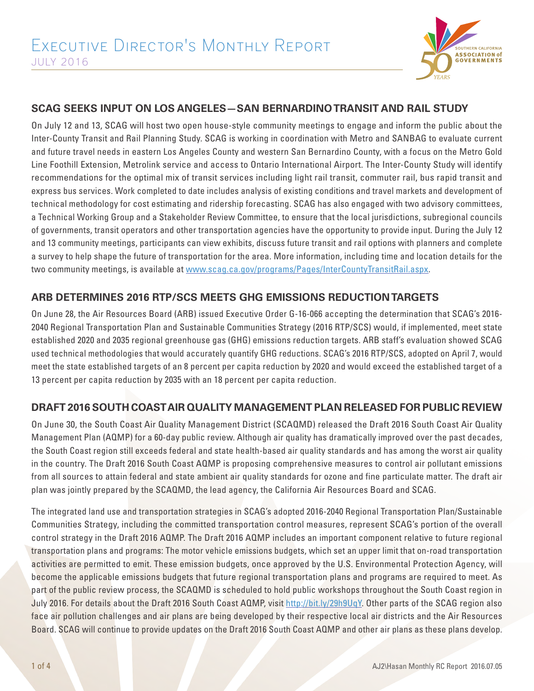

### **SCAG SEEKS INPUT ON LOS ANGELES—SAN BERNARDINO TRANSIT AND RAIL STUDY**

On July 12 and 13, SCAG will host two open house-style community meetings to engage and inform the public about the Inter-County Transit and Rail Planning Study. SCAG is working in coordination with Metro and SANBAG to evaluate current and future travel needs in eastern Los Angeles County and western San Bernardino County, with a focus on the Metro Gold Line Foothill Extension, Metrolink service and access to Ontario International Airport. The Inter-County Study will identify recommendations for the optimal mix of transit services including light rail transit, commuter rail, bus rapid transit and express bus services. Work completed to date includes analysis of existing conditions and travel markets and development of technical methodology for cost estimating and ridership forecasting. SCAG has also engaged with two advisory committees, a Technical Working Group and a Stakeholder Review Committee, to ensure that the local jurisdictions, subregional councils of governments, transit operators and other transportation agencies have the opportunity to provide input. During the July 12 and 13 community meetings, participants can view exhibits, discuss future transit and rail options with planners and complete a survey to help shape the future of transportation for the area. More information, including time and location details for the two community meetings, is available at www.scag.ca.gov/programs/Pages/InterCountyTransitRail.aspx.

## **ARB DETERMINES 2016 RTP/SCS MEETS GHG EMISSIONS REDUCTION TARGETS**

On June 28, the Air Resources Board (ARB) issued Executive Order G-16-066 accepting the determination that SCAG's 2016- 2040 Regional Transportation Plan and Sustainable Communities Strategy (2016 RTP/SCS) would, if implemented, meet state established 2020 and 2035 regional greenhouse gas (GHG) emissions reduction targets. ARB staff's evaluation showed SCAG used technical methodologies that would accurately quantify GHG reductions. SCAG's 2016 RTP/SCS, adopted on April 7, would meet the state established targets of an 8 percent per capita reduction by 2020 and would exceed the established target of a 13 percent per capita reduction by 2035 with an 18 percent per capita reduction.

### **DRAFT 2016 SOUTH COAST AIR QUALITY MANAGEMENT PLAN RELEASED FOR PUBLIC REVIEW**

On June 30, the South Coast Air Quality Management District (SCAQMD) released the Draft 2016 South Coast Air Quality Management Plan (AQMP) for a 60-day public review. Although air quality has dramatically improved over the past decades, the South Coast region still exceeds federal and state health-based air quality standards and has among the worst air quality in the country. The Draft 2016 South Coast AQMP is proposing comprehensive measures to control air pollutant emissions from all sources to attain federal and state ambient air quality standards for ozone and fine particulate matter. The draft air plan was jointly prepared by the SCAQMD, the lead agency, the California Air Resources Board and SCAG.

The integrated land use and transportation strategies in SCAG's adopted 2016-2040 Regional Transportation Plan/Sustainable Communities Strategy, including the committed transportation control measures, represent SCAG's portion of the overall control strategy in the Draft 2016 AQMP. The Draft 2016 AQMP includes an important component relative to future regional transportation plans and programs: The motor vehicle emissions budgets, which set an upper limit that on-road transportation activities are permitted to emit. These emission budgets, once approved by the U.S. Environmental Protection Agency, will become the applicable emissions budgets that future regional transportation plans and programs are required to meet. As part of the public review process, the SCAQMD is scheduled to hold public workshops throughout the South Coast region in July 2016. For details about the Draft 2016 South Coast AQMP, visit http://bit.ly/29h9UqY. Other parts of the SCAG region also face air pollution challenges and air plans are being developed by their respective local air districts and the Air Resources Board. SCAG will continue to provide updates on the Draft 2016 South Coast AQMP and other air plans as these plans develop.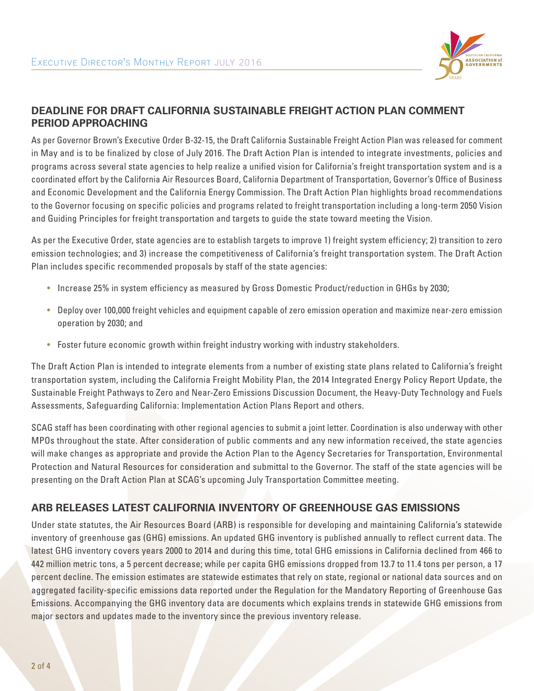

## **DEADLINE FOR DRAFT CALIFORNIA SUSTAINABLE FREIGHT ACTION PLAN COMMENT PERIOD APPROACHING**

As per Governor Brown's Executive Order B-32-15, the Draft California Sustainable Freight Action Plan was released for comment in May and is to be finalized by close of July 2016. The Draft Action Plan is intended to integrate investments, policies and programs across several state agencies to help realize a unified vision for California's freight transportation system and is a coordinated effort by the California Air Resources Board, California Department of Transportation, Governor's Office of Business and Economic Development and the California Energy Commission. The Draft Action Plan highlights broad recommendations to the Governor focusing on specific policies and programs related to freight transportation including a long-term 2050 Vision and Guiding Principles for freight transportation and targets to guide the state toward meeting the Vision.

As per the Executive Order, state agencies are to establish targets to improve 1) freight system efficiency; 2) transition to zero emission technologies; and 3) increase the competitiveness of California's freight transportation system. The Draft Action Plan includes specific recommended proposals by staff of the state agencies:

- Increase 25% in system efficiency as measured by Gross Domestic Product/reduction in GHGs by 2030;
- Deploy over 100,000 freight vehicles and equipment capable of zero emission operation and maximize near-zero emission operation by 2030; and
- Foster future economic growth within freight industry working with industry stakeholders.

The Draft Action Plan is intended to integrate elements from a number of existing state plans related to California's freight transportation system, including the California Freight Mobility Plan, the 2014 Integrated Energy Policy Report Update, the Sustainable Freight Pathways to Zero and Near-Zero Emissions Discussion Document, the Heavy-Duty Technology and Fuels Assessments, Safeguarding California: Implementation Action Plans Report and others.

SCAG staff has been coordinating with other regional agencies to submit a joint letter. Coordination is also underway with other MPOs throughout the state. After consideration of public comments and any new information received, the state agencies will make changes as appropriate and provide the Action Plan to the Agency Secretaries for Transportation, Environmental Protection and Natural Resources for consideration and submittal to the Governor. The staff of the state agencies will be presenting on the Draft Action Plan at SCAG's upcoming July Transportation Committee meeting.

### **ARB RELEASES LATEST CALIFORNIA INVENTORY OF GREENHOUSE GAS EMISSIONS**

Under state statutes, the Air Resources Board (ARB) is responsible for developing and maintaining California's statewide inventory of greenhouse gas (GHG) emissions. An updated GHG inventory is published annually to reflect current data. The latest GHG inventory covers years 2000 to 2014 and during this time, total GHG emissions in California declined from 466 to 442 million metric tons, a 5 percent decrease; while per capita GHG emissions dropped from 13.7 to 11.4 tons per person, a 17 percent decline. The emission estimates are statewide estimates that rely on state, regional or national data sources and on aggregated facility-specific emissions data reported under the Regulation for the Mandatory Reporting of Greenhouse Gas Emissions. Accompanying the GHG inventory data are documents which explains trends in statewide GHG emissions from major sectors and updates made to the inventory since the previous inventory release.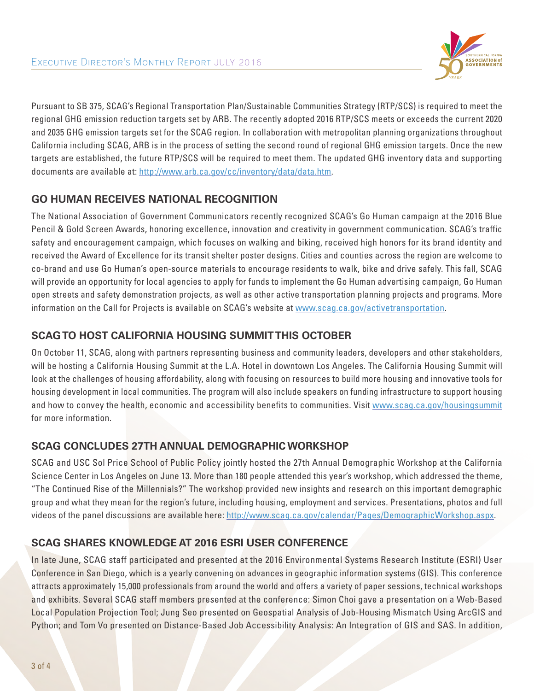

Pursuant to SB 375, SCAG's Regional Transportation Plan/Sustainable Communities Strategy (RTP/SCS) is required to meet the regional GHG emission reduction targets set by ARB. The recently adopted 2016 RTP/SCS meets or exceeds the current 2020 and 2035 GHG emission targets set for the SCAG region. In collaboration with metropolitan planning organizations throughout California including SCAG, ARB is in the process of setting the second round of regional GHG emission targets. Once the new targets are established, the future RTP/SCS will be required to meet them. The updated GHG inventory data and supporting documents are available at: http://www.arb.ca.gov/cc/inventory/data/data.htm.

# **GO HUMAN RECEIVES NATIONAL RECOGNITION**

The National Association of Government Communicators recently recognized SCAG's Go Human campaign at the 2016 Blue Pencil & Gold Screen Awards, honoring excellence, innovation and creativity in government communication. SCAG's traffic safety and encouragement campaign, which focuses on walking and biking, received high honors for its brand identity and received the Award of Excellence for its transit shelter poster designs. Cities and counties across the region are welcome to co-brand and use Go Human's open-source materials to encourage residents to walk, bike and drive safely. This fall, SCAG will provide an opportunity for local agencies to apply for funds to implement the Go Human advertising campaign, Go Human open streets and safety demonstration projects, as well as other active transportation planning projects and programs. More information on the Call for Projects is available on SCAG's website at www.scag.ca.gov/activetransportation.

## **SCAG TO HOST CALIFORNIA HOUSING SUMMIT THIS OCTOBER**

On October 11, SCAG, along with partners representing business and community leaders, developers and other stakeholders, will be hosting a California Housing Summit at the L.A. Hotel in downtown Los Angeles. The California Housing Summit will look at the challenges of housing affordability, along with focusing on resources to build more housing and innovative tools for housing development in local communities. The program will also include speakers on funding infrastructure to support housing and how to convey the health, economic and accessibility benefits to communities. Visit www.scag.ca.gov/housingsummit for more information.

### **SCAG CONCLUDES 27TH ANNUAL DEMOGRAPHIC WORKSHOP**

SCAG and USC Sol Price School of Public Policy jointly hosted the 27th Annual Demographic Workshop at the California Science Center in Los Angeles on June 13. More than 180 people attended this year's workshop, which addressed the theme, "The Continued Rise of the Millennials?" The workshop provided new insights and research on this important demographic group and what they mean for the region's future, including housing, employment and services. Presentations, photos and full videos of the panel discussions are available here: http://www.scag.ca.gov/calendar/Pages/DemographicWorkshop.aspx.

# **SCAG SHARES KNOWLEDGE AT 2016 ESRI USER CONFERENCE**

In late June, SCAG staff participated and presented at the 2016 Environmental Systems Research Institute (ESRI) User Conference in San Diego, which is a yearly convening on advances in geographic information systems (GIS). This conference attracts approximately 15,000 professionals from around the world and offers a variety of paper sessions, technical workshops and exhibits. Several SCAG staff members presented at the conference: Simon Choi gave a presentation on a Web-Based Local Population Projection Tool; Jung Seo presented on Geospatial Analysis of Job-Housing Mismatch Using ArcGIS and Python; and Tom Vo presented on Distance-Based Job Accessibility Analysis: An Integration of GIS and SAS. In addition,